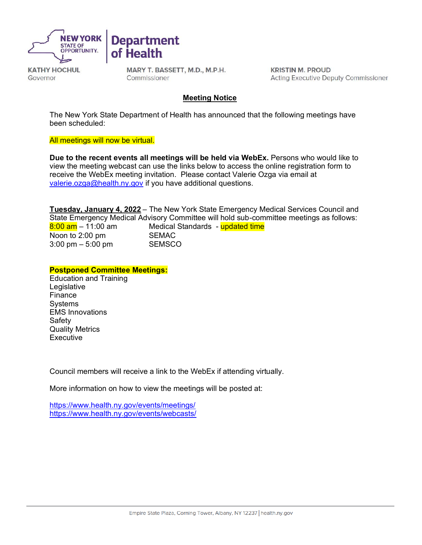

**KATHY HOCHUL** Governor

MARY T. BASSETT, M.D., M.P.H. Commissioner

**Department** 

of Health

**KRISTIN M. PROUD Acting Executive Deputy Commissioner** 

#### **Meeting Notice**

The New York State Department of Health has announced that the following meetings have been scheduled:

All meetings will now be virtual.

**Due to the recent events all meetings will be held via WebEx.** Persons who would like to view the meeting webcast can use the links below to access the online registration form to receive the WebEx meeting invitation. Please contact Valerie Ozga via email at [valerie.ozga@health.ny.gov](mailto:valarie.ozga@health.ny.gov) if you have additional questions.

**Tuesday, January 4, 2022** – The New York State Emergency Medical Services Council and State Emergency Medical Advisory Committee will hold sub-committee meetings as follows: <mark>8:00 am</mark> – 11:00 am Medical Standards - <mark>updated time</mark><br>Noon to 2:00 pm SEMAC Noon to  $2:00$  pm 3:00 pm – 5:00 pm SEMSCO

**Postponed Committee Meetings:** 

Education and Training **Legislative** Finance **Systems** EMS Innovations Safety Quality Metrics **Executive** 

Council members will receive a link to the WebEx if attending virtually.

More information on how to view the meetings will be posted at:

<https://www.health.ny.gov/events/meetings/> <https://www.health.ny.gov/events/webcasts/>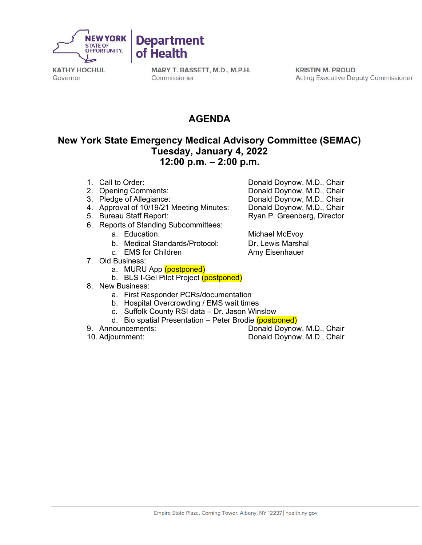

**KATHY HOCHUL** Governor

MARY T. BASSETT, M.D., M.P.H. Commissioner

**KRISTIN M. PROUD Acting Executive Deputy Commissioner** 

## **AGENDA**

#### **New York State Emergency Medical Advisory Committee (SEMAC) Tuesday, January 4, 2022 12:00 p.m. – 2:00 p.m.**

- 
- 
- 
- 4. Approval of 10/19/21 Meeting Minutes:<br>5. Bureau Staff Report:
- 
- 6. Reports of Standing Subcommittees:
	-
	- b. Medical Standards/Protocol: Dr. Lewis Marshal
	- c. EMS for Children **Amy Eisenhauer**
- 7. Old Business:
	- a. MURU App (postponed)
	- b. BLS I-Gel Pilot Project (postponed)
- 8. New Business:
	- a. First Responder PCRs/documentation
	- b. Hospital Overcrowding / EMS wait times
	- c. Suffolk County RSI data Dr. Jason Winslow
	- d. Bio spatial Presentation Peter Brodie (postponed)
- 
- 

1. Call to Order: Donald Doynow, M.D., Chair 2. Opening Comments: Commet Communisty Communisty Donald Doynow, M.D., Chair<br>2. Pledge of Allegiance: Communisty Donald Doynow, M.D., Chair Donald Doynow, M.D., Chair<br>Donald Doynow, M.D., Chair Ryan P. Greenberg, Director

a. Education: **Michael McEvoy** 

9. Announcements: Donald Doynow, M.D., Chair<br>10. Adjournment: The Conald Doynow, M.D., Chair Donald Doynow, M.D., Chair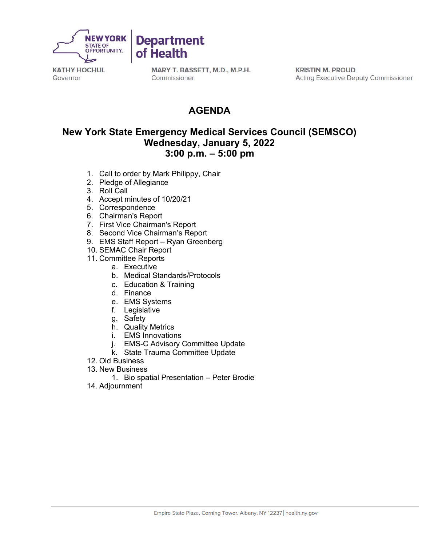

**KATHY HOCHUL** Governor

MARY T. BASSETT, M.D., M.P.H. Commissioner

**KRISTIN M. PROUD Acting Executive Deputy Commissioner** 

# **AGENDA**

### **New York State Emergency Medical Services Council (SEMSCO) Wednesday, January 5, 2022 3:00 p.m. – 5:00 pm**

- 1. Call to order by Mark Philippy, Chair
- 2. Pledge of Allegiance
- 3. Roll Call
- 4. Accept minutes of 10/20/21
- 5. Correspondence
- 6. Chairman's Report
- 7. First Vice Chairman's Report
- 8. Second Vice Chairman's Report
- 9. EMS Staff Report Ryan Greenberg
- 10. SEMAC Chair Report
- 11. Committee Reports
	- a. Executive
	- b. Medical Standards/Protocols
	- c. Education & Training
	- d. Finance
	- e. EMS Systems
	- f. Legislative
	- g. Safety
	- h. Quality Metrics
	- i. EMS Innovations
	- j. EMS-C Advisory Committee Update
	- k. State Trauma Committee Update
- 12. Old Business
- 13. New Business
	- 1. Bio spatial Presentation Peter Brodie
- 14. Adjournment